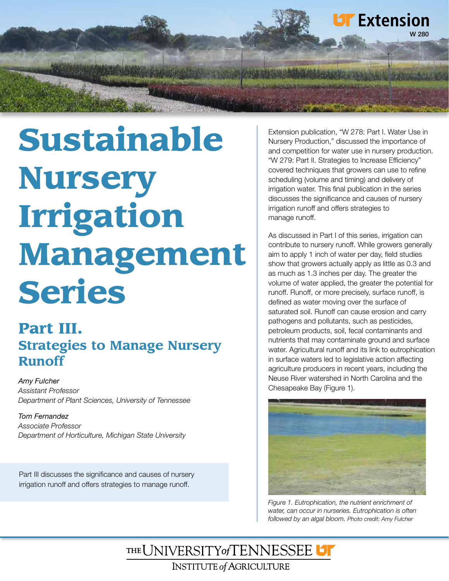

# Sustainable Nursery Irrigation Management Series

# Part III. **Strategies to Manage Nursery Runoff**

*Amy Fulcher Assistant Professor Department of Plant Sciences, University of Tennessee*

*Tom Fernandez Associate Professor Department of Horticulture, Michigan State University*

Part III discusses the significance and causes of nursery irrigation runoff and offers strategies to manage runoff.

Extension publication, "W 278: Part I. Water Use in Nursery Production," discussed the importance of and competition for water use in nursery production. "W 279: Part II. Strategies to Increase Efficiency" covered techniques that growers can use to refine scheduling (volume and timing) and delivery of irrigation water. This final publication in the series discusses the significance and causes of nursery irrigation runoff and offers strategies to manage runoff.

As discussed in Part I of this series, irrigation can contribute to nursery runoff. While growers generally aim to apply 1 inch of water per day, field studies show that growers actually apply as little as 0.3 and as much as 1.3 inches per day. The greater the volume of water applied, the greater the potential for runoff. Runoff, or more precisely, surface runoff, is defined as water moving over the surface of saturated soil. Runoff can cause erosion and carry pathogens and pollutants, such as pesticides, petroleum products, soil, fecal contaminants and nutrients that may contaminate ground and surface water. Agricultural runoff and its link to eutrophication in surface waters led to legislative action affecting agriculture producers in recent years, including the Neuse River watershed in North Carolina and the Chesapeake Bay (Figure 1).



*Figure 1. Eutrophication, the nutrient enrichment of water, can occur in nurseries. Eutrophication is often followed by an algal bloom. Photo credit: Amy Fulcher*

THE UNIVERSITY of TENNESSEE U **INSTITUTE of AGRICULTURE**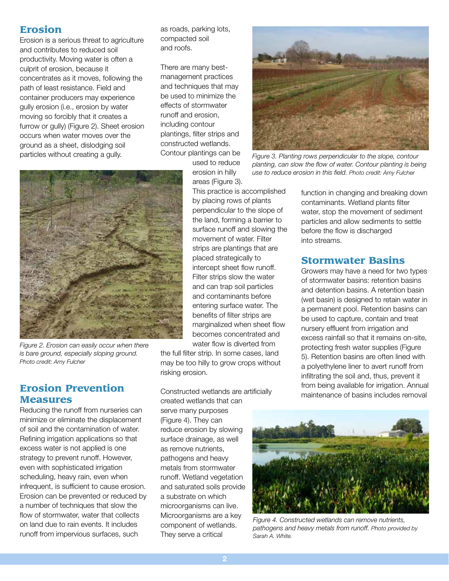# Erosion

Erosion is a serious threat to agriculture and contributes to reduced soil productivity. Moving water is often a culprit of erosion, because it concentrates as it moves, following the path of least resistance. Field and container producers may experience gully erosion (i.e., erosion by water moving so forcibly that it creates a furrow or gully) (Figure 2). Sheet erosion occurs when water moves over the ground as a sheet, dislodging soil particles without creating a gully.

as roads, parking lots, compacted soil and roofs.

There are many bestmanagement practices and techniques that may be used to minimize the effects of stormwater runoff and erosion, including contour plantings, filter strips and constructed wetlands. Contour plantings can be

> used to reduce erosion in hilly areas (Figure 3).



*Figure 2. Erosion can easily occur when there is bare ground, especially sloping ground. Photo credit: Amy Fulcher*

# Erosion Prevention **Measures**

Reducing the runoff from nurseries can minimize or eliminate the displacement of soil and the contamination of water. Refining irrigation applications so that excess water is not applied is one strategy to prevent runoff. However, even with sophisticated irrigation scheduling, heavy rain, even when infrequent, is sufficient to cause erosion. Erosion can be prevented or reduced by a number of techniques that slow the flow of stormwater, water that collects on land due to rain events. It includes runoff from impervious surfaces, such

This practice is accomplished by placing rows of plants perpendicular to the slope of the land, forming a barrier to surface runoff and slowing the movement of water. Filter strips are plantings that are placed strategically to intercept sheet flow runoff. Filter strips slow the water and can trap soil particles and contaminants before entering surface water. The benefits of filter strips are marginalized when sheet flow becomes concentrated and water flow is diverted from

the full filter strip. In some cases, land may be too hilly to grow crops without risking erosion.

Constructed wetlands are artificially created wetlands that can serve many purposes (Figure 4). They can reduce erosion by slowing surface drainage, as well as remove nutrients, pathogens and heavy metals from stormwater runoff. Wetland vegetation and saturated soils provide a substrate on which microorganisms can live. Microorganisms are a key component of wetlands. They serve a critical



*Figure 3. Planting rows perpendicular to the slope, contour planting, can slow the flow of water. Contour planting is being use to reduce erosion in this field. Photo credit: Amy Fulcher*

function in changing and breaking down contaminants. Wetland plants filter water, stop the movement of sediment particles and allow sediments to settle before the flow is discharged into streams.

# Stormwater Basins

Growers may have a need for two types of stormwater basins: retention basins and detention basins. A retention basin (wet basin) is designed to retain water in a permanent pool. Retention basins can be used to capture, contain and treat nursery effluent from irrigation and excess rainfall so that it remains on-site, protecting fresh water supplies (Figure 5). Retention basins are often lined with a polyethylene liner to avert runoff from infiltrating the soil and, thus, prevent it from being available for irrigation. Annual maintenance of basins includes removal



*Figure 4. Constructed wetlands can remove nutrients, pathogens and heavy metals from runoff. Photo provided by Sarah A. White.*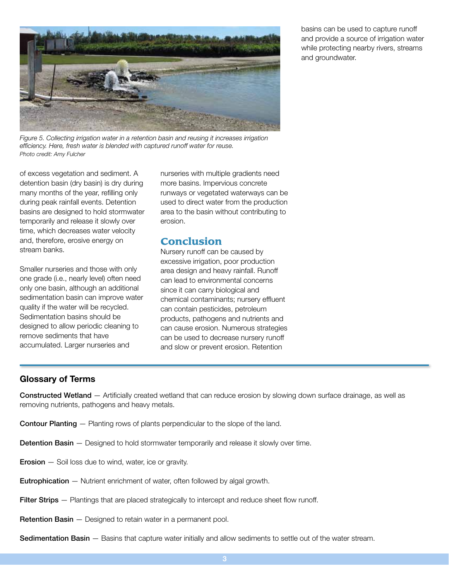

*Figure 5. Collecting irrigation water in a retention basin and reusing it increases irrigation efficiency. Here, fresh water is blended with captured runoff water for reuse. Photo credit: Amy Fulcher*

of excess vegetation and sediment. A detention basin (dry basin) is dry during many months of the year, refilling only during peak rainfall events. Detention basins are designed to hold stormwater temporarily and release it slowly over time, which decreases water velocity and, therefore, erosive energy on stream banks.

Smaller nurseries and those with only one grade (i.e., nearly level) often need only one basin, although an additional sedimentation basin can improve water quality if the water will be recycled. Sedimentation basins should be designed to allow periodic cleaning to remove sediments that have accumulated. Larger nurseries and

nurseries with multiple gradients need more basins. Impervious concrete runways or vegetated waterways can be used to direct water from the production area to the basin without contributing to erosion.

# Conclusion

Nursery runoff can be caused by excessive irrigation, poor production area design and heavy rainfall. Runoff can lead to environmental concerns since it can carry biological and chemical contaminants; nursery effluent can contain pesticides, petroleum products, pathogens and nutrients and can cause erosion. Numerous strategies can be used to decrease nursery runoff and slow or prevent erosion. Retention

#### Glossary of Terms

Constructed Wetland — Artificially created wetland that can reduce erosion by slowing down surface drainage, as well as removing nutrients, pathogens and heavy metals.

- Contour Planting Planting rows of plants perpendicular to the slope of the land.
- Detention Basin Designed to hold stormwater temporarily and release it slowly over time.
- **Erosion** Soil loss due to wind, water, ice or gravity.
- Eutrophication Nutrient enrichment of water, often followed by algal growth.
- Filter Strips Plantings that are placed strategically to intercept and reduce sheet flow runoff.
- Retention Basin Designed to retain water in a permanent pool.

Sedimentation Basin — Basins that capture water initially and allow sediments to settle out of the water stream.

basins can be used to capture runoff and provide a source of irrigation water while protecting nearby rivers, streams and groundwater.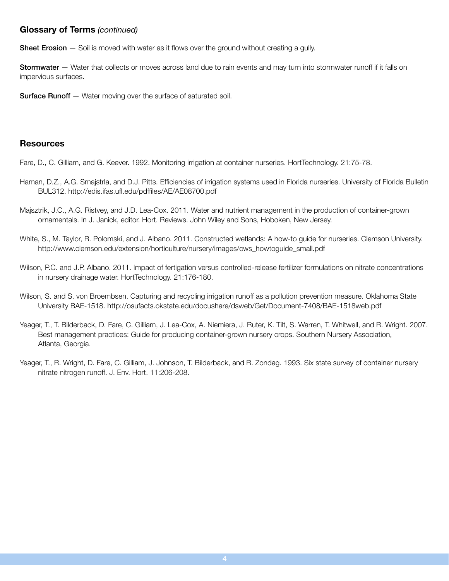#### Glossary of Terms *(continued)*

**Sheet Erosion** — Soil is moved with water as it flows over the ground without creating a gully.

Stormwater — Water that collects or moves across land due to rain events and may turn into stormwater runoff if it falls on impervious surfaces.

**Surface Runoff** - Water moving over the surface of saturated soil.

#### **Resources**

Fare, D., C. Gilliam, and G. Keever. 1992. Monitoring irrigation at container nurseries. HortTechnology. 21:75-78.

- Haman, D.Z., A.G. Smajstrla, and D.J. Pitts. Efficiencies of irrigation systems used in Florida nurseries. University of Florida Bulletin BUL312. http://edis.ifas.ufl.edu/pdffiles/AE/AE08700.pdf
- Majsztrik, J.C., A.G. Ristvey, and J.D. Lea-Cox. 2011. Water and nutrient management in the production of container-grown ornamentals. In J. Janick, editor. Hort. Reviews. John Wiley and Sons, Hoboken, New Jersey.
- White, S., M. Taylor, R. Polomski, and J. Albano. 2011. Constructed wetlands: A how-to guide for nurseries. Clemson University. http://www.clemson.edu/extension/horticulture/nursery/images/cws\_howtoguide\_small.pdf
- Wilson, P.C. and J.P. Albano. 2011. Impact of fertigation versus controlled-release fertilizer formulations on nitrate concentrations in nursery drainage water. HortTechnology. 21:176-180.
- Wilson, S. and S. von Broembsen. Capturing and recycling irrigation runoff as a pollution prevention measure. Oklahoma State University BAE-1518. http://osufacts.okstate.edu/docushare/dsweb/Get/Document-7408/BAE-1518web.pdf
- Yeager, T., T. Bilderback, D. Fare, C. Gilliam, J. Lea-Cox, A. Niemiera, J. Ruter, K. Tilt, S. Warren, T. Whitwell, and R. Wright. 2007. Best management practices: Guide for producing container-grown nursery crops. Southern Nursery Association, Atlanta, Georgia.
- Yeager, T., R. Wright, D. Fare, C. Gilliam, J. Johnson, T. Bilderback, and R. Zondag. 1993. Six state survey of container nursery nitrate nitrogen runoff. J. Env. Hort. 11:206-208.